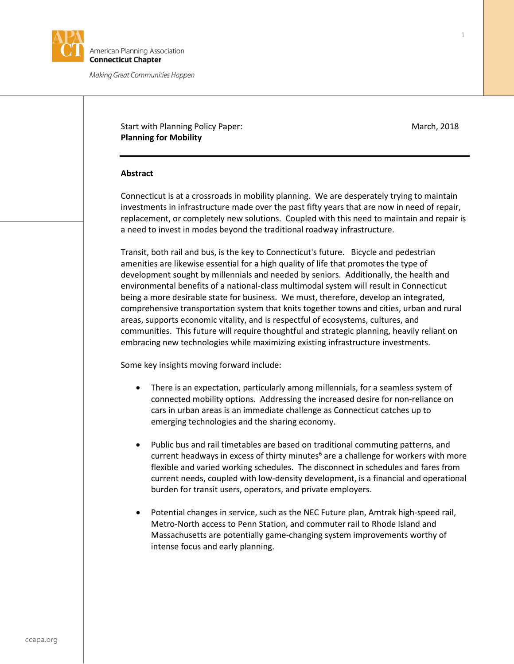

Making Great Communities Happen

# Start with Planning Policy Paper: March, 2018 **Planning for Mobility**

## **Abstract**

Connecticut is at a crossroads in mobility planning. We are desperately trying to maintain investments in infrastructure made over the past fifty years that are now in need of repair, replacement, or completely new solutions. Coupled with this need to maintain and repair is a need to invest in modes beyond the traditional roadway infrastructure.

Transit, both rail and bus, is the key to Connecticut's future. Bicycle and pedestrian amenities are likewise essential for a high quality of life that promotes the type of development sought by millennials and needed by seniors. Additionally, the health and environmental benefits of a national-class multimodal system will result in Connecticut being a more desirable state for business. We must, therefore, develop an integrated, comprehensive transportation system that knits together towns and cities, urban and rural areas, supports economic vitality, and is respectful of ecosystems, cultures, and communities. This future will require thoughtful and strategic planning, heavily reliant on embracing new technologies while maximizing existing infrastructure investments.

Some key insights moving forward include:

- There is an expectation, particularly among millennials, for a seamless system of connected mobility options. Addressing the increased desire for non-reliance on cars in urban areas is an immediate challenge as Connecticut catches up to emerging technologies and the sharing economy.
- Public bus and rail timetables are based on traditional commuting patterns, and current headways in excess of thirty minutes<sup>6</sup> are a challenge for workers with more flexible and varied working schedules. The disconnect in schedules and fares from current needs, coupled with low-density development, is a financial and operational burden for transit users, operators, and private employers.
- Potential changes in service, such as the NEC Future plan, Amtrak high-speed rail, Metro-North access to Penn Station, and commuter rail to Rhode Island and Massachusetts are potentially game-changing system improvements worthy of intense focus and early planning.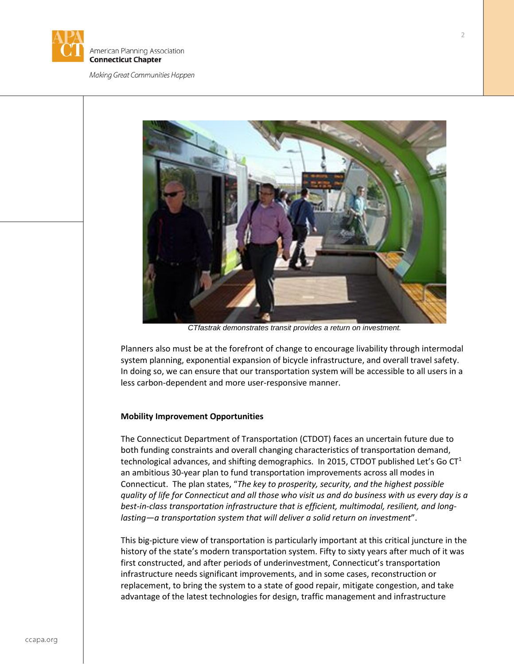

#### Making Great Communities Happen



*CTfastrak demonstrates transit provides a return on investment.*

Planners also must be at the forefront of change to encourage livability through intermodal system planning, exponential expansion of bicycle infrastructure, and overall travel safety. In doing so, we can ensure that our transportation system will be accessible to all users in a less carbon-dependent and more user-responsive manner.

#### **Mobility Improvement Opportunities**

The Connecticut Department of Transportation (CTDOT) faces an uncertain future due to both funding constraints and overall changing characteristics of transportation demand, technological advances, and shifting demographics. In 2015, CTDOT published Let's Go  $CT<sup>1</sup>$ an ambitious 30-year plan to fund transportation improvements across all modes in Connecticut. The plan states, "*The key to prosperity, security, and the highest possible quality of life for Connecticut and all those who visit us and do business with us every day is a best-in-class transportation infrastructure that is efficient, multimodal, resilient, and longlasting—a transportation system that will deliver a solid return on investment*".

This big-picture view of transportation is particularly important at this critical juncture in the history of the state's modern transportation system. Fifty to sixty years after much of it was first constructed, and after periods of underinvestment, Connecticut's transportation infrastructure needs significant improvements, and in some cases, reconstruction or replacement, to bring the system to a state of good repair, mitigate congestion, and take advantage of the latest technologies for design, traffic management and infrastructure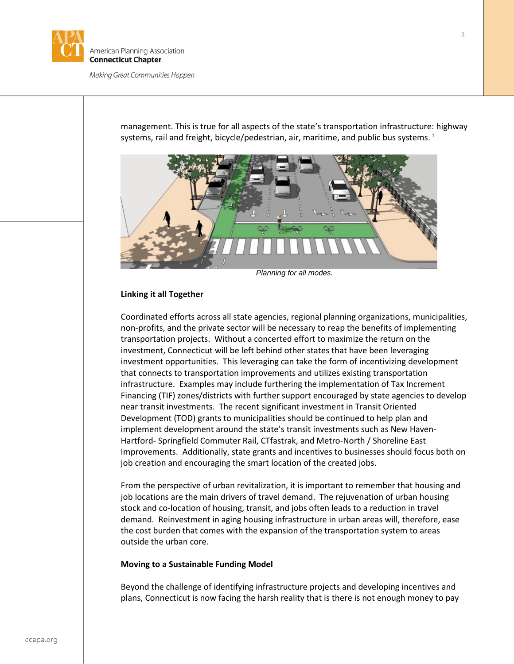

Making Great Communities Happen

management. This is true for all aspects of the state's transportation infrastructure: highway systems, rail and freight, bicycle/pedestrian, air, maritime, and public bus systems.<sup>1</sup>



*Planning for all modes.*

## **Linking it all Together**

Coordinated efforts across all state agencies, regional planning organizations, municipalities, non-profits, and the private sector will be necessary to reap the benefits of implementing transportation projects. Without a concerted effort to maximize the return on the investment, Connecticut will be left behind other states that have been leveraging investment opportunities. This leveraging can take the form of incentivizing development that connects to transportation improvements and utilizes existing transportation infrastructure. Examples may include furthering the implementation of Tax Increment Financing (TIF) zones/districts with further support encouraged by state agencies to develop near transit investments. The recent significant investment in Transit Oriented Development (TOD) grants to municipalities should be continued to help plan and implement development around the state's transit investments such as New Haven-Hartford- Springfield Commuter Rail, CTfastrak, and Metro-North / Shoreline East Improvements. Additionally, state grants and incentives to businesses should focus both on job creation and encouraging the smart location of the created jobs.

From the perspective of urban revitalization, it is important to remember that housing and job locations are the main drivers of travel demand. The rejuvenation of urban housing stock and co-location of housing, transit, and jobs often leads to a reduction in travel demand. Reinvestment in aging housing infrastructure in urban areas will, therefore, ease the cost burden that comes with the expansion of the transportation system to areas outside the urban core.

## **Moving to a Sustainable Funding Model**

Beyond the challenge of identifying infrastructure projects and developing incentives and plans, Connecticut is now facing the harsh reality that is there is not enough money to pay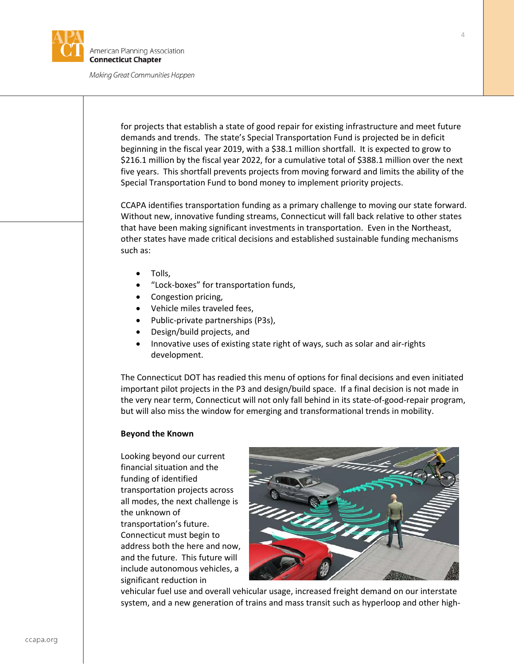

merican Planning Association **Connecticut Chapter** 

Making Great Communities Happen

for projects that establish a state of good repair for existing infrastructure and meet future demands and trends. The state's Special Transportation Fund is projected be in deficit beginning in the fiscal year 2019, with a \$38.1 million shortfall. It is expected to grow to \$216.1 million by the fiscal year 2022, for a cumulative total of \$388.1 million over the next five years. This shortfall prevents projects from moving forward and limits the ability of the Special Transportation Fund to bond money to implement priority projects.

CCAPA identifies transportation funding as a primary challenge to moving our state forward. Without new, innovative funding streams, Connecticut will fall back relative to other states that have been making significant investments in transportation. Even in the Northeast, other states have made critical decisions and established sustainable funding mechanisms such as:

- Tolls,
- "Lock-boxes" for transportation funds,
- Congestion pricing,
- Vehicle miles traveled fees,
- Public-private partnerships (P3s),
- Design/build projects, and
- Innovative uses of existing state right of ways, such as solar and air-rights development.

The Connecticut DOT has readied this menu of options for final decisions and even initiated important pilot projects in the P3 and design/build space. If a final decision is not made in the very near term, Connecticut will not only fall behind in its state-of-good-repair program, but will also miss the window for emerging and transformational trends in mobility.

## **Beyond the Known**

Looking beyond our current financial situation and the funding of identified transportation projects across all modes, the next challenge is the unknown of transportation's future. Connecticut must begin to address both the here and now, and the future. This future will include autonomous vehicles, a significant reduction in



vehicular fuel use and overall vehicular usage, increased freight demand on our interstate system, and a new generation of trains and mass transit such as hyperloop and other high-